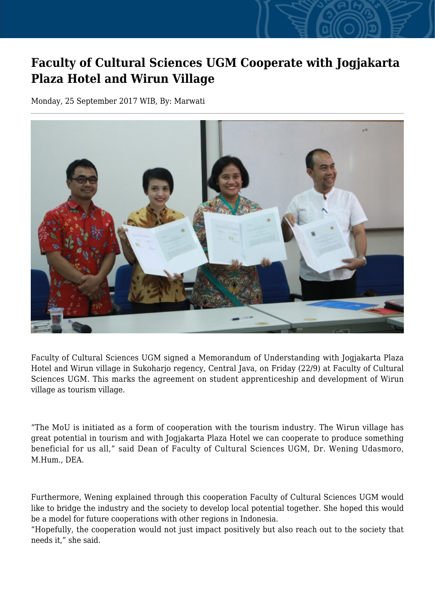## **Faculty of Cultural Sciences UGM Cooperate with Jogjakarta Plaza Hotel and Wirun Village**

Monday, 25 September 2017 WIB, By: Marwati



Faculty of Cultural Sciences UGM signed a Memorandum of Understanding with Jogjakarta Plaza Hotel and Wirun village in Sukoharjo regency, Central Java, on Friday (22/9) at Faculty of Cultural Sciences UGM. This marks the agreement on student apprenticeship and development of Wirun village as tourism village.

"The MoU is initiated as a form of cooperation with the tourism industry. The Wirun village has great potential in tourism and with Jogjakarta Plaza Hotel we can cooperate to produce something beneficial for us all," said Dean of Faculty of Cultural Sciences UGM, Dr. Wening Udasmoro, M.Hum., DEA.

Furthermore, Wening explained through this cooperation Faculty of Cultural Sciences UGM would like to bridge the industry and the society to develop local potential together. She hoped this would be a model for future cooperations with other regions in Indonesia.

"Hopefully, the cooperation would not just impact positively but also reach out to the society that needs it," she said.